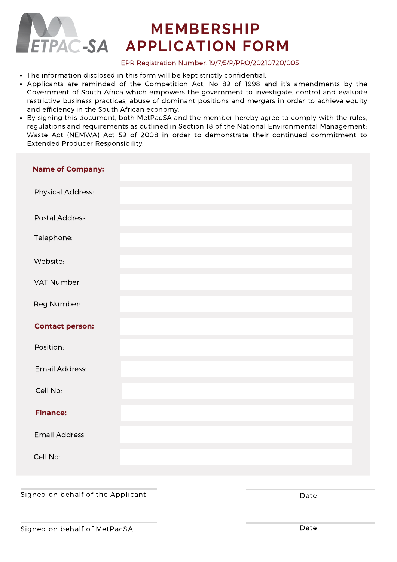

# **MEMBERSHIP APPLICATION FORM**

#### EPR Registration Number: 19/7/5/P/PRO/20210720/005

- The information disclosed in this form will be kept strictly confidential.
- Applicants are reminded of the Competition Act, No 89 of 1998 and it's amendments by the Government of South Africa which empowers the government to investigate, control and evaluate restrictive business practices, abuse of dominant positions and mergers in order to achieve equity and efficiency in the South African economy.
- By signing this document, both MetPacSA and the member hereby agree to comply with the rules, regulations and requirements as outlined in Section 18 of the National Environmental Management: Waste Act (NEMWA) Act 59 of 2008 in order to demonstrate their continued commitment to Extended Producer Responsibility.

| <b>Name of Company:</b> |  |
|-------------------------|--|
| Physical Address:       |  |
| Postal Address:         |  |
| Telephone:              |  |
| Website:                |  |
| VAT Number:             |  |
| Reg Number:             |  |
| <b>Contact person:</b>  |  |
| Position:               |  |
| Email Address:          |  |
| Cell No:                |  |
| <b>Finance:</b>         |  |
| Email Address:          |  |
| Cell No:                |  |

#### Signed on behalf of the Applicant Date Date Date Date Date